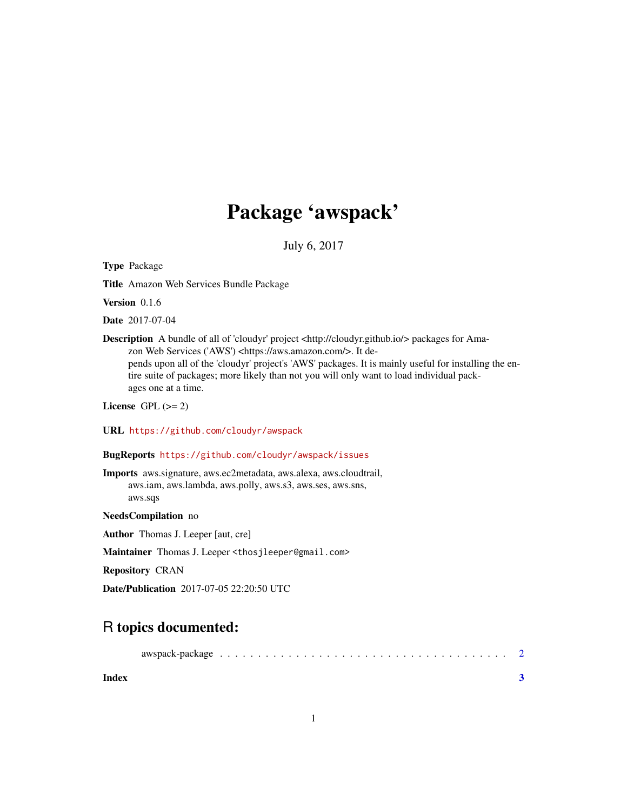## Package 'awspack'

July 6, 2017

Type Package Title Amazon Web Services Bundle Package Version 0.1.6 Date 2017-07-04 Description A bundle of all of 'cloudyr' project <http://cloudyr.github.io/> packages for Amazon Web Services ('AWS') <https://aws.amazon.com/>. It depends upon all of the 'cloudyr' project's 'AWS' packages. It is mainly useful for installing the entire suite of packages; more likely than not you will only want to load individual packages one at a time. License GPL  $(>= 2)$ URL <https://github.com/cloudyr/awspack> BugReports <https://github.com/cloudyr/awspack/issues> Imports aws.signature, aws.ec2metadata, aws.alexa, aws.cloudtrail, aws.iam, aws.lambda, aws.polly, aws.s3, aws.ses, aws.sns, aws.sqs NeedsCompilation no Author Thomas J. Leeper [aut, cre] Maintainer Thomas J. Leeper <thosjleeper@gmail.com> Repository CRAN

Date/Publication 2017-07-05 22:20:50 UTC

### R topics documented:

| awspack-package |  |  |  |
|-----------------|--|--|--|
|                 |  |  |  |

**Index** [3](#page-2-0)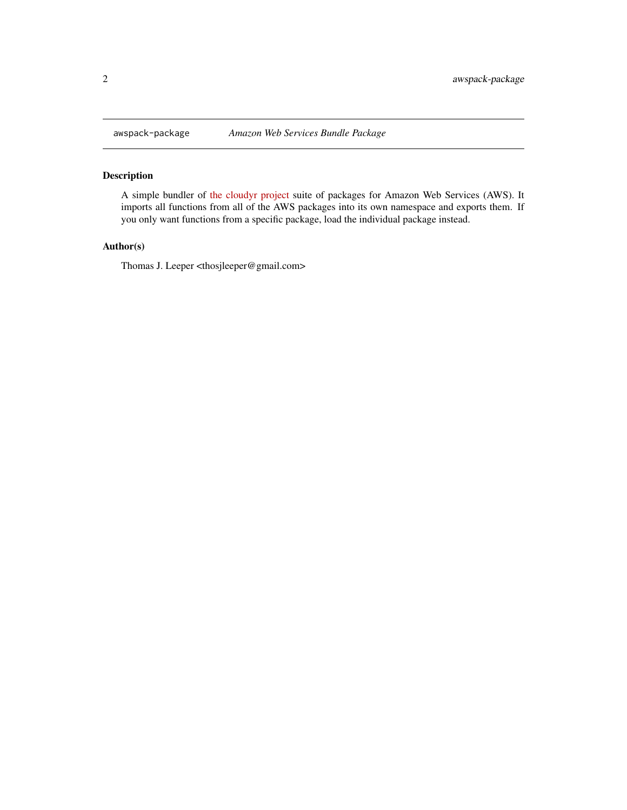<span id="page-1-0"></span>

#### Description

A simple bundler of [the cloudyr project](http://cloudyr.github.io) suite of packages for Amazon Web Services (AWS). It imports all functions from all of the AWS packages into its own namespace and exports them. If you only want functions from a specific package, load the individual package instead.

#### Author(s)

Thomas J. Leeper <thosjleeper@gmail.com>